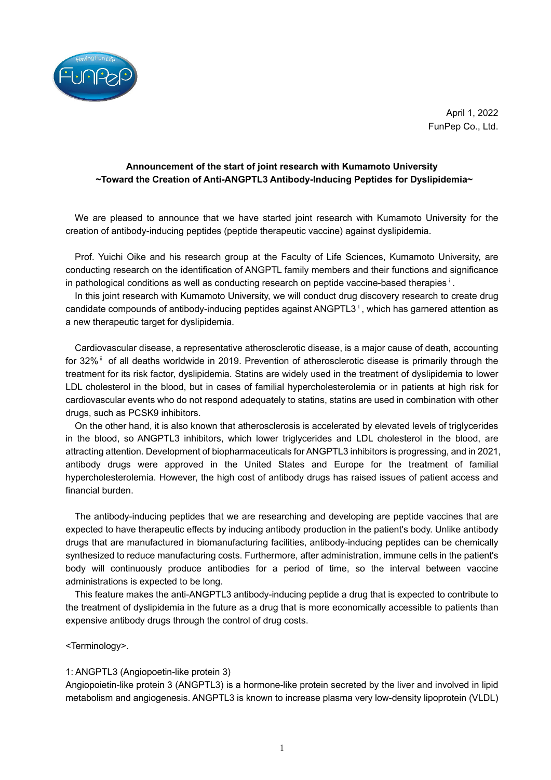

April 1, 2022 FunPep Co., Ltd.

## **Announcement of the start of joint research with Kumamoto University ~Toward the Creation of Anti-ANGPTL3 Antibody-Inducing Peptides for Dyslipidemia~**

We are pleased to announce that we have started joint research with Kumamoto University for the creation of antibody-inducing peptides (peptide therapeutic vaccine) against dyslipidemia.

Prof. Yuichi Oike and his research group at the Faculty of Life Sciences, Kumamoto University, are conducting research on the identification of ANGPTL family members and their functions and significance in pathological conditions as well as conducting research on peptide vaccine-based therapies<sup>ⅰ</sup>.

In this joint research with Kumamoto University, we will conduct drug discovery research to create drug candidate compounds of antibody-inducing peptides against ANGPTL3 $<sup>1</sup>$ , which has garnered attention as</sup> a new therapeutic target for dyslipidemia.

Cardiovascular disease, a representative atherosclerotic disease, is a major cause of death, accounting for 32% □ of all deaths worldwide in 2019. Prevention of atherosclerotic disease is primarily through the treatment for its risk factor, dyslipidemia. Statins are widely used in the treatment of dyslipidemia to lower LDL cholesterol in the blood, but in cases of familial hypercholesterolemia or in patients at high risk for cardiovascular events who do not respond adequately to statins, statins are used in combination with other drugs, such as PCSK9 inhibitors.

On the other hand, it is also known that atherosclerosis is accelerated by elevated levels of triglycerides in the blood, so ANGPTL3 inhibitors, which lower triglycerides and LDL cholesterol in the blood, are attracting attention. Development of biopharmaceuticals for ANGPTL3 inhibitors is progressing, and in 2021, antibody drugs were approved in the United States and Europe for the treatment of familial hypercholesterolemia. However, the high cost of antibody drugs has raised issues of patient access and financial burden.

The antibody-inducing peptides that we are researching and developing are peptide vaccines that are expected to have therapeutic effects by inducing antibody production in the patient's body. Unlike antibody drugs that are manufactured in biomanufacturing facilities, antibody-inducing peptides can be chemically synthesized to reduce manufacturing costs. Furthermore, after administration, immune cells in the patient's body will continuously produce antibodies for a period of time, so the interval between vaccine administrations is expected to be long.

This feature makes the anti-ANGPTL3 antibody-inducing peptide a drug that is expected to contribute to the treatment of dyslipidemia in the future as a drug that is more economically accessible to patients than expensive antibody drugs through the control of drug costs.

<Terminology>.

## 1: ANGPTL3 (Angiopoetin-like protein 3)

Angiopoietin-like protein 3 (ANGPTL3) is a hormone-like protein secreted by the liver and involved in lipid metabolism and angiogenesis. ANGPTL3 is known to increase plasma very low-density lipoprotein (VLDL)